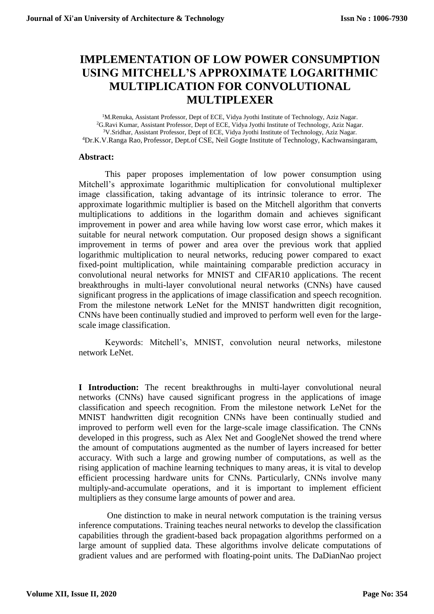# **IMPLEMENTATION OF LOW POWER CONSUMPTION USING MITCHELL'S APPROXIMATE LOGARITHMIC MULTIPLICATION FOR CONVOLUTIONAL MULTIPLEXER**

<sup>1</sup>M.Renuka, Assistant Professor, Dept of ECE, Vidya Jyothi Institute of Technology, Aziz Nagar. G.Ravi Kumar, Assistant Professor, Dept of ECE, Vidya Jyothi Institute of Technology, Aziz Nagar. V.Sridhar, Assistant Professor, Dept of ECE, Vidya Jyothi Institute of Technology, Aziz Nagar. Dr.K.V.Ranga Rao, Professor, Dept.of CSE, Neil Gogte Institute of Technology, Kachwansingaram,

## **Abstract:**

This paper proposes implementation of low power consumption using Mitchell's approximate logarithmic multiplication for convolutional multiplexer image classification, taking advantage of its intrinsic tolerance to error. The approximate logarithmic multiplier is based on the Mitchell algorithm that converts multiplications to additions in the logarithm domain and achieves significant improvement in power and area while having low worst case error, which makes it suitable for neural network computation. Our proposed design shows a significant improvement in terms of power and area over the previous work that applied logarithmic multiplication to neural networks, reducing power compared to exact fixed-point multiplication, while maintaining comparable prediction accuracy in convolutional neural networks for MNIST and CIFAR10 applications. The recent breakthroughs in multi-layer convolutional neural networks (CNNs) have caused significant progress in the applications of image classification and speech recognition. From the milestone network LeNet for the MNIST handwritten digit recognition, CNNs have been continually studied and improved to perform well even for the largescale image classification.

Keywords: Mitchell's, MNIST, convolution neural networks, milestone network LeNet.

**I Introduction:** The recent breakthroughs in multi-layer convolutional neural networks (CNNs) have caused significant progress in the applications of image classification and speech recognition. From the milestone network LeNet for the MNIST handwritten digit recognition CNNs have been continually studied and improved to perform well even for the large-scale image classification. The CNNs developed in this progress, such as Alex Net and GoogleNet showed the trend where the amount of computations augmented as the number of layers increased for better accuracy. With such a large and growing number of computations, as well as the rising application of machine learning techniques to many areas, it is vital to develop efficient processing hardware units for CNNs. Particularly, CNNs involve many multiply-and-accumulate operations, and it is important to implement efficient multipliers as they consume large amounts of power and area.

One distinction to make in neural network computation is the training versus inference computations. Training teaches neural networks to develop the classification capabilities through the gradient-based back propagation algorithms performed on a large amount of supplied data. These algorithms involve delicate computations of gradient values and are performed with floating-point units. The DaDianNao project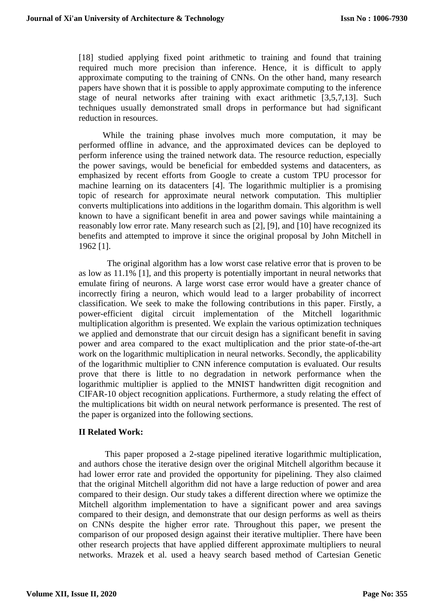[18] studied applying fixed point arithmetic to training and found that training required much more precision than inference. Hence, it is difficult to apply approximate computing to the training of CNNs. On the other hand, many research papers have shown that it is possible to apply approximate computing to the inference stage of neural networks after training with exact arithmetic [3,5,7,13]. Such techniques usually demonstrated small drops in performance but had significant reduction in resources.

 While the training phase involves much more computation, it may be performed offline in advance, and the approximated devices can be deployed to perform inference using the trained network data. The resource reduction, especially the power savings, would be beneficial for embedded systems and datacenters, as emphasized by recent efforts from Google to create a custom TPU processor for machine learning on its datacenters [4]. The logarithmic multiplier is a promising topic of research for approximate neural network computation. This multiplier converts multiplications into additions in the logarithm domain. This algorithm is well known to have a significant benefit in area and power savings while maintaining a reasonably low error rate. Many research such as [2], [9], and [10] have recognized its benefits and attempted to improve it since the original proposal by John Mitchell in 1962 [1].

 The original algorithm has a low worst case relative error that is proven to be as low as 11.1% [1], and this property is potentially important in neural networks that emulate firing of neurons. A large worst case error would have a greater chance of incorrectly firing a neuron, which would lead to a larger probability of incorrect classification. We seek to make the following contributions in this paper. Firstly, a power-efficient digital circuit implementation of the Mitchell logarithmic multiplication algorithm is presented. We explain the various optimization techniques we applied and demonstrate that our circuit design has a significant benefit in saving power and area compared to the exact multiplication and the prior state-of-the-art work on the logarithmic multiplication in neural networks. Secondly, the applicability of the logarithmic multiplier to CNN inference computation is evaluated. Our results prove that there is little to no degradation in network performance when the logarithmic multiplier is applied to the MNIST handwritten digit recognition and CIFAR-10 object recognition applications. Furthermore, a study relating the effect of the multiplications bit width on neural network performance is presented. The rest of the paper is organized into the following sections.

# **II Related Work:**

This paper proposed a 2-stage pipelined iterative logarithmic multiplication, and authors chose the iterative design over the original Mitchell algorithm because it had lower error rate and provided the opportunity for pipelining. They also claimed that the original Mitchell algorithm did not have a large reduction of power and area compared to their design. Our study takes a different direction where we optimize the Mitchell algorithm implementation to have a significant power and area savings compared to their design, and demonstrate that our design performs as well as theirs on CNNs despite the higher error rate. Throughout this paper, we present the comparison of our proposed design against their iterative multiplier. There have been other research projects that have applied different approximate multipliers to neural networks. Mrazek et al. used a heavy search based method of Cartesian Genetic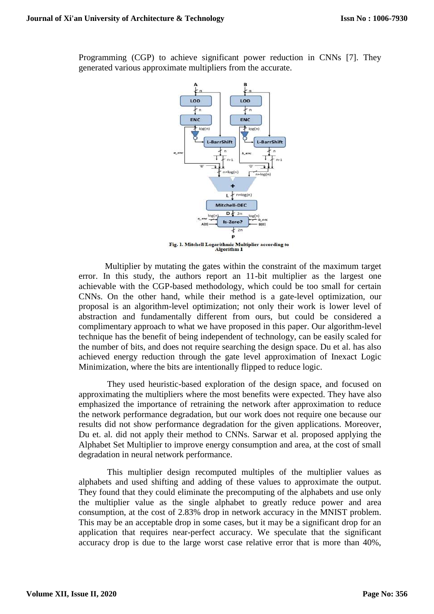Programming (CGP) to achieve significant power reduction in CNNs [7]. They generated various approximate multipliers from the accurate.



Multiplier by mutating the gates within the constraint of the maximum target error. In this study, the authors report an 11-bit multiplier as the largest one achievable with the CGP-based methodology, which could be too small for certain CNNs. On the other hand, while their method is a gate-level optimization, our proposal is an algorithm-level optimization; not only their work is lower level of abstraction and fundamentally different from ours, but could be considered a complimentary approach to what we have proposed in this paper. Our algorithm-level technique has the benefit of being independent of technology, can be easily scaled for the number of bits, and does not require searching the design space. Du et al. has also achieved energy reduction through the gate level approximation of Inexact Logic Minimization, where the bits are intentionally flipped to reduce logic.

They used heuristic-based exploration of the design space, and focused on approximating the multipliers where the most benefits were expected. They have also emphasized the importance of retraining the network after approximation to reduce the network performance degradation, but our work does not require one because our results did not show performance degradation for the given applications. Moreover, Du et. al. did not apply their method to CNNs. Sarwar et al. proposed applying the Alphabet Set Multiplier to improve energy consumption and area, at the cost of small degradation in neural network performance.

This multiplier design recomputed multiples of the multiplier values as alphabets and used shifting and adding of these values to approximate the output. They found that they could eliminate the precomputing of the alphabets and use only the multiplier value as the single alphabet to greatly reduce power and area consumption, at the cost of 2.83% drop in network accuracy in the MNIST problem. This may be an acceptable drop in some cases, but it may be a significant drop for an application that requires near-perfect accuracy. We speculate that the significant accuracy drop is due to the large worst case relative error that is more than 40%,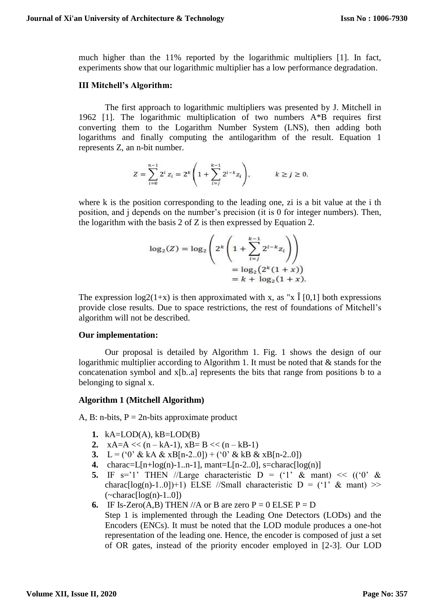much higher than the 11% reported by the logarithmic multipliers [1]. In fact, experiments show that our logarithmic multiplier has a low performance degradation.

## **III Mitchell's Algorithm:**

The first approach to logarithmic multipliers was presented by J. Mitchell in 1962 [1]. The logarithmic multiplication of two numbers A\*B requires first converting them to the Logarithm Number System (LNS), then adding both logarithms and finally computing the antilogarithm of the result. Equation 1 represents Z, an n-bit number.

$$
Z = \sum_{i=0}^{n-1} 2^i \, z_i = 2^k \left( 1 + \sum_{i=j}^{k-1} 2^{i-k} z_i \right), \hspace{1cm} k \geq j \geq 0.
$$

where k is the position corresponding to the leading one, zi is a bit value at the i the position, and j depends on the number's precision (it is 0 for integer numbers). Then, the logarithm with the basis 2 of Z is then expressed by Equation 2.

$$
\log_2(Z) = \log_2\left(2^k \left(1 + \sum_{i=j}^{k-1} 2^{i-k} z_i\right)\right)
$$
  
=  $\log_2(2^k (1 + x))$   
=  $k + \log_2(1 + x)$ .

The expression  $log2(1+x)$  is then approximated with x, as "x  $\hat{I}$  [0,1] both expressions provide close results. Due to space restrictions, the rest of foundations of Mitchell's algorithm will not be described.

#### **Our implementation:**

Our proposal is detailed by Algorithm 1. Fig. 1 shows the design of our logarithmic multiplier according to Algorithm 1. It must be noted that & stands for the concatenation symbol and x[b..a] represents the bits that range from positions b to a belonging to signal x.

#### **Algorithm 1 (Mitchell Algorithm)**

A, B: n-bits,  $P = 2n$ -bits approximate product

- **1.** kA=LOD(A), kB=LOD(B)
- **2.**  $xA=A \ll (n kA-1)$ ,  $xB = B \ll (n kB-1)$
- **3.** L = ('0' & kA & xB[n-2..0]) + ('0' & kB & xB[n-2..0])
- 4. charac=L $[n+log(n)-1..n-1]$ , mant=L $[n-2..0]$ , s=charac $log(n)$ ]
- **5.** IF  $s=1$ ' THEN //Large characteristic  $D = (1, 8, 8, 1)$  <<  $((0, 8, 1, 1))$ charac $\lceil \log(n)-1.0 \rceil$ ) ELSE //Small characteristic  $D =$  ('1' & mant) >>  $(\sim \text{charac}[\log(n)-1.0])$
- **6.** IF Is-Zero(A,B) THEN //A or B are zero  $P = 0$  ELSE  $P = D$ Step 1 is implemented through the Leading One Detectors (LODs) and the Encoders (ENCs). It must be noted that the LOD module produces a one-hot representation of the leading one. Hence, the encoder is composed of just a set of OR gates, instead of the priority encoder employed in [2-3]. Our LOD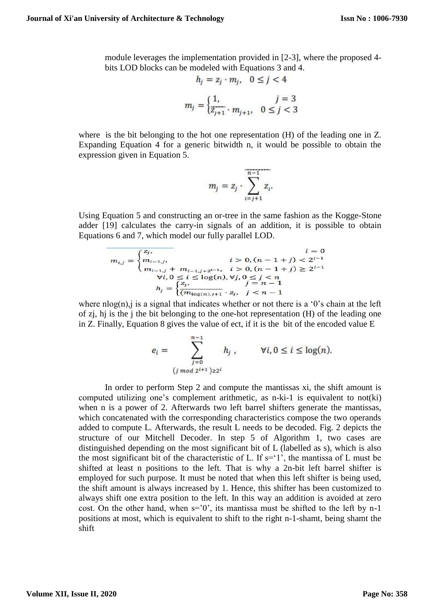module leverages the implementation provided in [2-3], where the proposed 4 bits LOD blocks can be modeled with Equations 3 and 4.

$$
h_j = z_j \cdot m_j, \quad 0 \le j < 4
$$
\n
$$
m_j = \begin{cases} 1, & j = 3 \\ \overline{z_{j+1}} \cdot m_{j+1}, & 0 \le j < 3 \end{cases}
$$

where is the bit belonging to the hot one representation (H) of the leading one in Z. Expanding Equation 4 for a generic bitwidth n, it would be possible to obtain the expression given in Equation 5.

$$
m_j = z_j \cdot \sum_{i=j+1}^{n-1} z_i.
$$

Using Equation 5 and constructing an or-tree in the same fashion as the Kogge-Stone adder [19] calculates the carry-in signals of an addition, it is possible to obtain Equations 6 and 7, which model our fully parallel LOD.

$$
m_{i,j} = \begin{cases} z_j, & i = 0 \\ m_{i-1,j}, & i > 0, (n-1+j) < 2^{i-1} \\ m_{i-1,j} + m_{i-1,j+2^{i-1}}, & i > 0, (n-1+j) \ge 2^{i-1} \\ \forall i, 0 \le i \le \log(n), \forall j, 0 \le j < n \\ h_j = \begin{cases} z_j, & j = n-1 \\ (m_{\log(n),j+1}, z_j, & j < n-1 \end{cases} \end{cases}
$$

where nlog(n), i is a signal that indicates whether or not there is a '0's chain at the left of zj, hj is the j the bit belonging to the one-hot representation (H) of the leading one in Z. Finally, Equation 8 gives the value of ect, if it is the bit of the encoded value E

$$
e_i = \sum_{\substack{j=0 \ (j \bmod 2^{i+1}) \geq 2^i}}^{n-1} h_j, \qquad \forall i, 0 \leq i \leq \log(n).
$$

In order to perform Step 2 and compute the mantissas xi, the shift amount is computed utilizing one's complement arithmetic, as n-ki-1 is equivalent to not(ki) when n is a power of 2. Afterwards two left barrel shifters generate the mantissas, which concatenated with the corresponding characteristics compose the two operands added to compute L. Afterwards, the result L needs to be decoded. Fig. 2 depicts the structure of our Mitchell Decoder. In step 5 of Algorithm 1, two cases are distinguished depending on the most significant bit of L (labelled as s), which is also the most significant bit of the characteristic of L. If  $s=1$ ', the mantissa of L must be shifted at least n positions to the left. That is why a 2n-bit left barrel shifter is employed for such purpose. It must be noted that when this left shifter is being used, the shift amount is always increased by 1. Hence, this shifter has been customized to always shift one extra position to the left. In this way an addition is avoided at zero cost. On the other hand, when  $s=0'$ , its mantissa must be shifted to the left by n-1 positions at most, which is equivalent to shift to the right n-1-shamt, being shamt the shift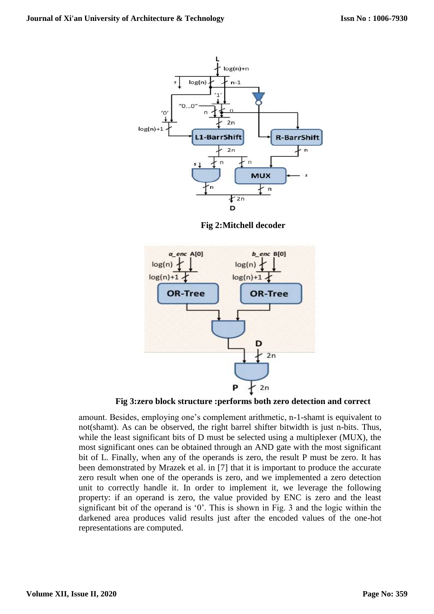

**Fig 2:Mitchell decoder**



**Fig 3:zero block structure :performs both zero detection and correct**

amount. Besides, employing one's complement arithmetic, n-1-shamt is equivalent to not(shamt). As can be observed, the right barrel shifter bitwidth is just n-bits. Thus, while the least significant bits of D must be selected using a multiplexer (MUX), the most significant ones can be obtained through an AND gate with the most significant bit of L. Finally, when any of the operands is zero, the result P must be zero. It has been demonstrated by Mrazek et al. in [7] that it is important to produce the accurate zero result when one of the operands is zero, and we implemented a zero detection unit to correctly handle it. In order to implement it, we leverage the following property: if an operand is zero, the value provided by ENC is zero and the least significant bit of the operand is '0'. This is shown in Fig. 3 and the logic within the darkened area produces valid results just after the encoded values of the one-hot representations are computed.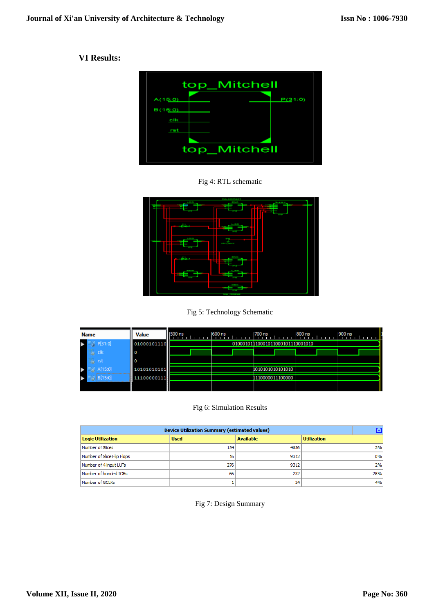# **VI Results:**



Fig 4: RTL schematic



Fig 5: Technology Schematic

| <b>Name</b>    | <b>Value</b> | <b>1500 ns</b> | 600 ns | 1700 ns                          | 800 ns | 900 ns |
|----------------|--------------|----------------|--------|----------------------------------|--------|--------|
| P[31:0]        | 01000101110  |                |        | 01000101110001011000101110001010 |        |        |
| <b>高 clk</b>   | II 0         |                |        |                                  |        |        |
| ் rst          | II O         |                |        |                                  |        |        |
| o A[15:0]      | 10101010101  |                |        | 1010101010101010                 |        |        |
| $_0$   B[15:0] | 11100000111  |                |        | 1110000011100000                 |        |        |
|                |              |                |        |                                  |        |        |

Fig 6: Simulation Results

| <b>Device Utilization Summary (estimated values)</b> |             |                  |                    |       |  |  |  |
|------------------------------------------------------|-------------|------------------|--------------------|-------|--|--|--|
| <b>Logic Utilization</b>                             | <b>Used</b> | <b>Available</b> | <b>Utilization</b> |       |  |  |  |
| Number of Slices                                     | 154         | 4656             |                    | 3%    |  |  |  |
| Number of Slice Flip Flops                           | 16          | 9312             |                    | $0\%$ |  |  |  |
| Number of 4 input LUTs                               | 276         | 9312             |                    | 2%    |  |  |  |
| Number of bonded IOBs                                | 66          | 232              |                    | 28%   |  |  |  |
| Number of GCLKs                                      |             | 24               |                    | 4%    |  |  |  |

Fig 7: Design Summary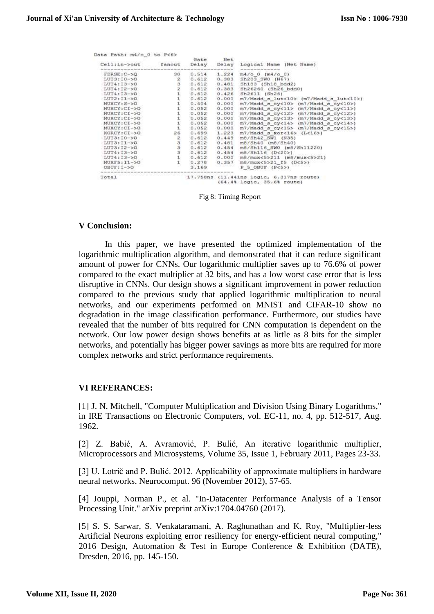| Data Path: m4/o 0 to P<6> |                  | Gate  | Net   |                                                                                |  |  |
|---------------------------|------------------|-------|-------|--------------------------------------------------------------------------------|--|--|
| Cell:in->out fanout       |                  | Delay | Delay | Logical Name (Net Name)<br>del der bet met der ber bei der bet den der bes der |  |  |
| $FDRSE: C->O$             | 30               | 0.514 | 1.224 | $m4/0$ 0 $(m4/0)$                                                              |  |  |
| $LUT3:10-50$              | $\frac{2}{3}$    | 0.612 | 0.383 | Sh203 SW0 (N67)                                                                |  |  |
| $LUT4113 - >0$            |                  | 0.612 | 0.481 | Sh183 (Sh18 bdd2)                                                              |  |  |
| $LUT4:12->0$              | $\overline{z}$   | 0.612 | 0.383 | Sh26260 (Sh26 bdd0)                                                            |  |  |
| $LUT4:13->O$              |                  | 0.612 | 0.426 | Sh2611 (Sh26)                                                                  |  |  |
| $LUT2:11->0$              |                  | 0.612 | 0.000 | m7/Madd_s_lut<10> (m7/Madd_s_lut<10>)                                          |  |  |
| MUXCY: S->O               |                  | 0.404 | 0.000 | $m7/Madd$ $g_{cy}<10$ / $(m7/Madd$ $g_{cy}<10$ >)                              |  |  |
| MUXCY:CI->O               |                  | 0.052 | 0.000 | m7/Madd_s_cy<11> (m7/Madd_s_cy<11>)                                            |  |  |
| $MUXCY:CI->O$             |                  | 0.052 | 0.000 | $m7/Madd$ a cy<12> $(m7/Madd$ a cy<12>)                                        |  |  |
| MUXCY: CI->O              | $\frac{1}{1}$    | 0.052 | 0.000 | m7/Madd a cy<13> (m7/Madd a cy<13>)                                            |  |  |
| MUXCY:CI->O               |                  | 0.052 | 0.000 | m7/Madd a cy<14> (m7/Madd a cy<14>)                                            |  |  |
| MUXCYICI->0               | ï                | 0.052 | 0.000 | m7/Madd s cy<15> (m7/Madd s cy<15>)                                            |  |  |
| XORCY : CI->O             | 26               | 0.699 | 1.223 | $m7/Madd$ s $x$ or<16> (L<16>)                                                 |  |  |
| $LUT3110->0$              | $\overline{z}$   | 0.612 | 0.449 | m8/Sh42 SW1 (N35)                                                              |  |  |
| $LUT3:11->0$              |                  | 0.612 | 0.481 | $m8/5h40$ ( $m8/5h40$ )                                                        |  |  |
| $LUT3:12->0$              | a<br>a<br>a<br>a | 0.612 | 0.454 | m6/Sh116 SW0 (m6/Sh11220)                                                      |  |  |
| $LUT4:13->0$              |                  |       |       | $0.612$ 0.454 m8/Sh116 (D<20>)                                                 |  |  |
| $LUT4:13->0$              |                  | 0.612 | 0.000 | m8/mux<5>211 (m8/mux<5>21)                                                     |  |  |
| $MUXF5:11-50$             |                  |       |       | $0.278$ 0.357 m8/mux<5>21 f5 (D<5>)                                            |  |  |
| $OBUF:I->O$               |                  | 3.169 |       | $P$ S OBUF ( $P<5>$ )                                                          |  |  |
| Total                     |                  |       |       | 17.758ns (11.441ns logic, 6.317ns route)                                       |  |  |
|                           |                  |       |       | (64.4% logic, 35.6% route)                                                     |  |  |

Fig 8: Timing Report

## **V Conclusion:**

In this paper, we have presented the optimized implementation of the logarithmic multiplication algorithm, and demonstrated that it can reduce significant amount of power for CNNs. Our logarithmic multiplier saves up to 76.6% of power compared to the exact multiplier at 32 bits, and has a low worst case error that is less disruptive in CNNs. Our design shows a significant improvement in power reduction compared to the previous study that applied logarithmic multiplication to neural networks, and our experiments performed on MNIST and CIFAR-10 show no degradation in the image classification performance. Furthermore, our studies have revealed that the number of bits required for CNN computation is dependent on the network. Our low power design shows benefits at as little as 8 bits for the simpler networks, and potentially has bigger power savings as more bits are required for more complex networks and strict performance requirements.

#### **VI REFERANCES:**

[1] J. N. Mitchell, "Computer Multiplication and Division Using Binary Logarithms," in IRE Transactions on Electronic Computers, vol. EC-11, no. 4, pp. 512-517, Aug. 1962.

[2] Z. Babić, A. Avramović, P. Bulić, An iterative logarithmic multiplier, Microprocessors and Microsystems, Volume 35, Issue 1, February 2011, Pages 23-33.

[3] U. Lotrič and P. Bulić. 2012. Applicability of approximate multipliers in hardware neural networks. Neurocomput. 96 (November 2012), 57-65.

[4] Jouppi, Norman P., et al. "In-Datacenter Performance Analysis of a Tensor Processing Unit." arXiv preprint arXiv:1704.04760 (2017).

[5] S. S. Sarwar, S. Venkataramani, A. Raghunathan and K. Roy, "Multiplier-less Artificial Neurons exploiting error resiliency for energy-efficient neural computing," 2016 Design, Automation & Test in Europe Conference & Exhibition (DATE), Dresden, 2016, pp. 145-150.